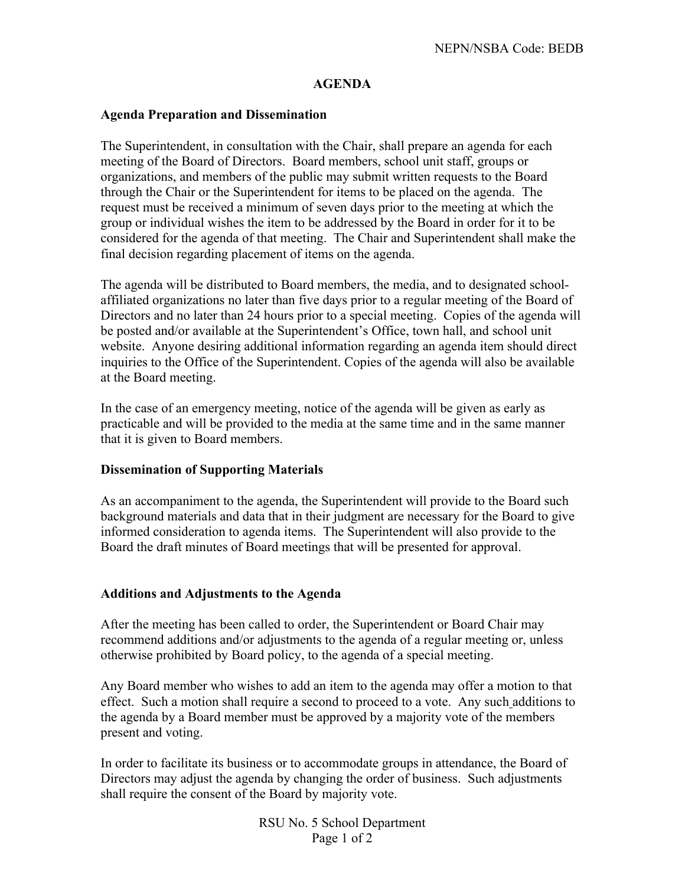## **AGENDA**

## **Agenda Preparation and Dissemination**

The Superintendent, in consultation with the Chair, shall prepare an agenda for each meeting of the Board of Directors. Board members, school unit staff, groups or organizations, and members of the public may submit written requests to the Board through the Chair or the Superintendent for items to be placed on the agenda. The request must be received a minimum of seven days prior to the meeting at which the group or individual wishes the item to be addressed by the Board in order for it to be considered for the agenda of that meeting. The Chair and Superintendent shall make the final decision regarding placement of items on the agenda.

The agenda will be distributed to Board members, the media, and to designated schoolaffiliated organizations no later than five days prior to a regular meeting of the Board of Directors and no later than 24 hours prior to a special meeting. Copies of the agenda will be posted and/or available at the Superintendent's Office, town hall, and school unit website. Anyone desiring additional information regarding an agenda item should direct inquiries to the Office of the Superintendent. Copies of the agenda will also be available at the Board meeting.

In the case of an emergency meeting, notice of the agenda will be given as early as practicable and will be provided to the media at the same time and in the same manner that it is given to Board members.

## **Dissemination of Supporting Materials**

As an accompaniment to the agenda, the Superintendent will provide to the Board such background materials and data that in their judgment are necessary for the Board to give informed consideration to agenda items. The Superintendent will also provide to the Board the draft minutes of Board meetings that will be presented for approval.

## **Additions and Adjustments to the Agenda**

After the meeting has been called to order, the Superintendent or Board Chair may recommend additions and/or adjustments to the agenda of a regular meeting or, unless otherwise prohibited by Board policy, to the agenda of a special meeting.

Any Board member who wishes to add an item to the agenda may offer a motion to that effect. Such a motion shall require a second to proceed to a vote. Any such additions to the agenda by a Board member must be approved by a majority vote of the members present and voting.

In order to facilitate its business or to accommodate groups in attendance, the Board of Directors may adjust the agenda by changing the order of business. Such adjustments shall require the consent of the Board by majority vote.

> RSU No. 5 School Department Page 1 of 2